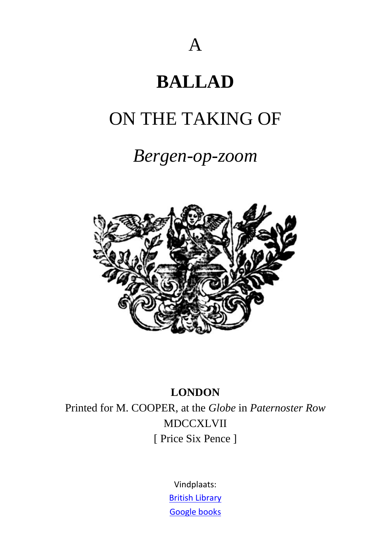# **BALLAD**

## ON THE TAKING OF

## *Bergen-op-zoom*



#### **LONDON**

Printed for M. COOPER, at the *Globe* in *Paternoster Row* MDCCXLVII [ Price Six Pence ]

> Vindplaats: [British Library](http://access.bl.uk/item/viewer/ark:/81055/vdc_100023685177.0x000001#?c=0&m=0&s=0&cv=0&xywh=-1619%2C-1%2C5579%2C4025) Google books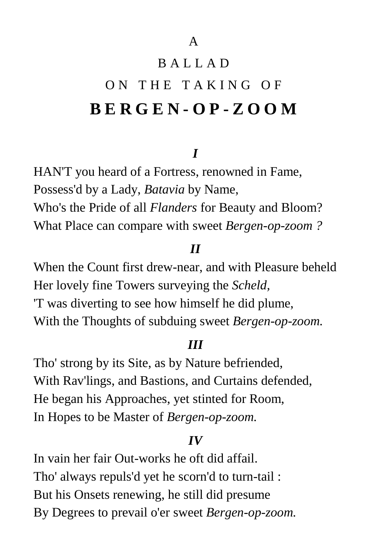## B A L L A D

# ON THE TAKING OF **BER G E N - O P - Z O O M**

#### *I*

HAN'T you heard of a Fortress, renowned in Fame, Possess'd by a Lady, *Batavia* by Name, Who's the Pride of all *Flanders* for Beauty and Bloom? What Place can compare with sweet *Bergen-op-zoom ?*

#### *II*

When the Count first drew-near, and with Pleasure beheld Her lovely fine Towers surveying the *Scheld,*  'T was diverting to see how himself he did plume, With the Thoughts of subduing sweet *Bergen-op-zoom.* 

#### *III*

Tho' strong by its Site, as by Nature befriended, With Rav'lings, and Bastions, and Curtains defended, He began his Approaches, yet stinted for Room, In Hopes to be Master of *Bergen-op-zoom.* 

#### *IV*

In vain her fair Out-works he oft did affail. Tho' always repuls'd yet he scorn'd to turn-tail : But his Onsets renewing, he still did presume By Degrees to prevail o'er sweet *Bergen-op-zoom.*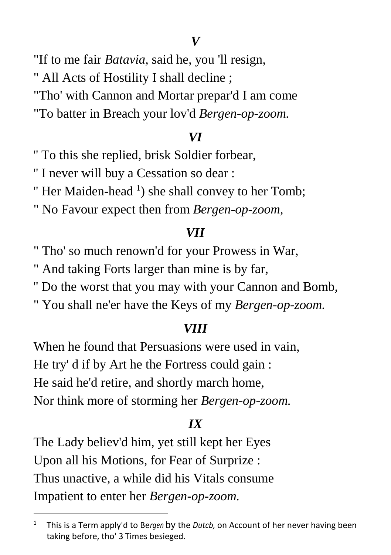"If to me fair *Batavia,* said he, you 'll resign,

" All Acts of Hostility I shall decline ;

"Tho' with Cannon and Mortar prepar'd I am come

"To batter in Breach your lov'd *Bergen-op-zoom.* 

#### *VI*

'' To this she replied, brisk Soldier forbear,

'' I never will buy a Cessation so dear :

" Her Maiden-head  $\frac{1}{1}$  she shall convey to her Tomb;

" No Favour expect then from *Bergen-op-zoom,* 

#### *VII*

" Tho' so much renown'd for your Prowess in War,

" And taking Forts larger than mine is by far,

'' Do the worst that you may with your Cannon and Bomb,

" You shall ne'er have the Keys of my *Bergen-op-zoom.*

#### *VIII*

When he found that Persuasions were used in vain, He try' d if by Art he the Fortress could gain : He said he'd retire, and shortly march home, Nor think more of storming her *Bergen-op-zoom.* 

#### *IX*

The Lady believ'd him, yet still kept her Eyes Upon all his Motions, for Fear of Surprize : Thus unactive, a while did his Vitals consume Impatient to enter her *Bergen-op-zoom.* 

**.** 

<sup>1</sup> This is a Term apply'd to Be*rgen* by the *Dutcb,* on Account of her never having been taking before, tho' 3 Times besieged.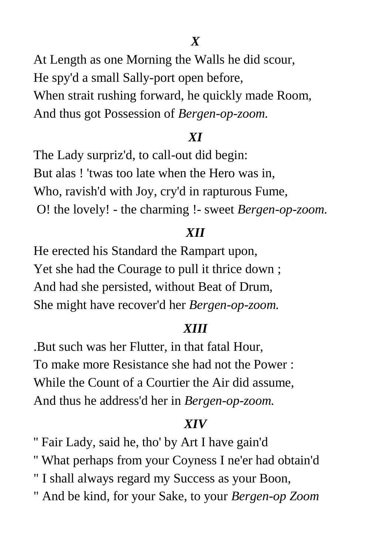*X*

At Length as one Morning the Walls he did scour, He spy'd a small Sally-port open before, When strait rushing forward, he quickly made Room, And thus got Possession of *Bergen-op-zoom.* 

#### *XI*

The Lady surpriz'd, to call-out did begin: But alas ! 'twas too late when the Hero was in, Who, ravish'd with Joy, cry'd in rapturous Fume, O! the lovely! - the charming !- sweet *Bergen-op-zoom.* 

### *XII*

He erected his Standard the Rampart upon, Yet she had the Courage to pull it thrice down ; And had she persisted, without Beat of Drum, She might have recover'd her *Bergen-op-zoom.* 

#### *XIII*

.But such was her Flutter, in that fatal Hour, To make more Resistance she had not the Power : While the Count of a Courtier the Air did assume, And thus he address'd her in *Bergen-op-zoom.* 

#### *XIV*

'' Fair Lady, said he, tho' by Art I have gain'd

- '' What perhaps from your Coyness I ne'er had obtain'd
- " I shall always regard my Success as your Boon,
- " And be kind, for your Sake, to your *Bergen-op Zoom*